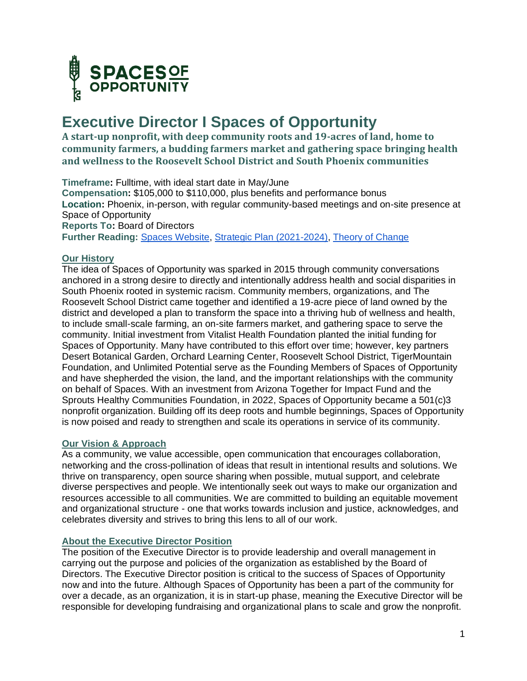

# **Executive Director I Spaces of Opportunity**

**A start-up nonprofit, with deep community roots and 19-acres of land, home to community farmers, a budding farmers market and gathering space bringing health and wellness to the Roosevelt School District and South Phoenix communities**

**Timeframe:** Fulltime, with ideal start date in May/June **Compensation:** \$105,000 to \$110,000, plus benefits and performance bonus **Location:** Phoenix, in-person, with regular community-based meetings and on-site presence at Space of Opportunity **Reports To:** Board of Directors **Further Reading:** [Spaces Website,](https://dbg.org/partner-initiatives/spaces-of-opportunity/) [Strategic Plan \(2021-2024\), Theory of Change](https://drive.google.com/drive/folders/18YA-OPF_lxaeyzbjRe9KluSEpAxHo_4P)

#### **Our History**

The idea of Spaces of Opportunity was sparked in 2015 through community conversations anchored in a strong desire to directly and intentionally address health and social disparities in South Phoenix rooted in systemic racism. Community members, organizations, and The Roosevelt School District came together and identified a 19-acre piece of land owned by the district and developed a plan to transform the space into a thriving hub of wellness and health, to include small-scale farming, an on-site farmers market, and gathering space to serve the community. Initial investment from Vitalist Health Foundation planted the initial funding for Spaces of Opportunity. Many have contributed to this effort over time; however, key partners Desert Botanical Garden, Orchard Learning Center, Roosevelt School District, TigerMountain Foundation, and Unlimited Potential serve as the Founding Members of Spaces of Opportunity and have shepherded the vision, the land, and the important relationships with the community on behalf of Spaces. With an investment from Arizona Together for Impact Fund and the Sprouts Healthy Communities Foundation, in 2022, Spaces of Opportunity became a 501(c)3 nonprofit organization. Building off its deep roots and humble beginnings, Spaces of Opportunity is now poised and ready to strengthen and scale its operations in service of its community.

#### **Our Vision & Approach**

As a community, we value accessible, open communication that encourages collaboration, networking and the cross-pollination of ideas that result in intentional results and solutions. We thrive on transparency, open source sharing when possible, mutual support, and celebrate diverse perspectives and people. We intentionally seek out ways to make our organization and resources accessible to all communities. We are committed to building an equitable movement and organizational structure - one that works towards inclusion and justice, acknowledges, and celebrates diversity and strives to bring this lens to all of our work.

### **About the Executive Director Position**

The position of the Executive Director is to provide leadership and overall management in carrying out the purpose and policies of the organization as established by the Board of Directors. The Executive Director position is critical to the success of Spaces of Opportunity now and into the future. Although Spaces of Opportunity has been a part of the community for over a decade, as an organization, it is in start-up phase, meaning the Executive Director will be responsible for developing fundraising and organizational plans to scale and grow the nonprofit.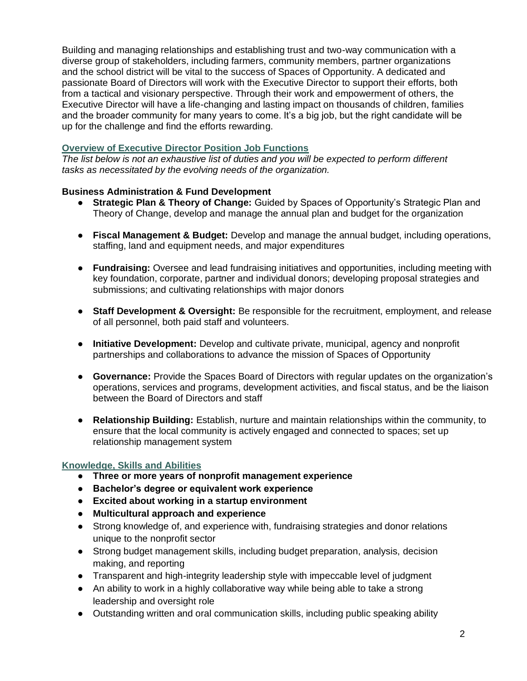Building and managing relationships and establishing trust and two-way communication with a diverse group of stakeholders, including farmers, community members, partner organizations and the school district will be vital to the success of Spaces of Opportunity. A dedicated and passionate Board of Directors will work with the Executive Director to support their efforts, both from a tactical and visionary perspective. Through their work and empowerment of others, the Executive Director will have a life-changing and lasting impact on thousands of children, families and the broader community for many years to come. It's a big job, but the right candidate will be up for the challenge and find the efforts rewarding.

## **Overview of Executive Director Position Job Functions**

*The list below is not an exhaustive list of duties and you will be expected to perform different tasks as necessitated by the evolving needs of the organization.*

## **Business Administration & Fund Development**

- **Strategic Plan & Theory of Change:** Guided by Spaces of Opportunity's Strategic Plan and Theory of Change, develop and manage the annual plan and budget for the organization
- **Fiscal Management & Budget:** Develop and manage the annual budget, including operations, staffing, land and equipment needs, and major expenditures
- **Fundraising:** Oversee and lead fundraising initiatives and opportunities, including meeting with key foundation, corporate, partner and individual donors; developing proposal strategies and submissions; and cultivating relationships with major donors
- **Staff Development & Oversight:** Be responsible for the recruitment, employment, and release of all personnel, both paid staff and volunteers.
- **Initiative Development:** Develop and cultivate private, municipal, agency and nonprofit partnerships and collaborations to advance the mission of Spaces of Opportunity
- **Governance:** Provide the Spaces Board of Directors with regular updates on the organization's operations, services and programs, development activities, and fiscal status, and be the liaison between the Board of Directors and staff
- **Relationship Building:** Establish, nurture and maintain relationships within the community, to ensure that the local community is actively engaged and connected to spaces; set up relationship management system

#### **Knowledge, Skills and Abilities**

- **Three or more years of nonprofit management experience**
- **Bachelor's degree or equivalent work experience**
- **Excited about working in a startup environment**
- **Multicultural approach and experience**
- Strong knowledge of, and experience with, fundraising strategies and donor relations unique to the nonprofit sector
- Strong budget management skills, including budget preparation, analysis, decision making, and reporting
- Transparent and high-integrity leadership style with impeccable level of judgment
- An ability to work in a highly collaborative way while being able to take a strong leadership and oversight role
- Outstanding written and oral communication skills, including public speaking ability